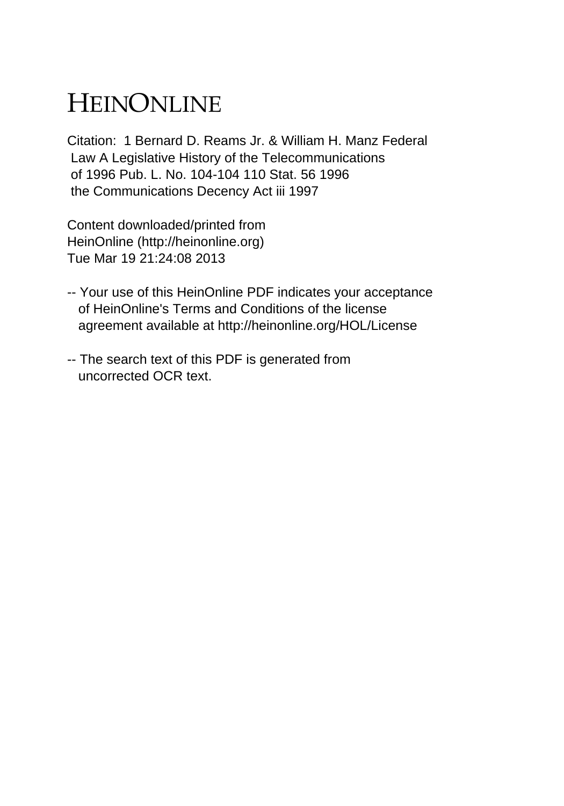## HEINONLINE

Citation: 1 Bernard D. Reams Jr. & William H. Manz Federal Law A Legislative History of the Telecommunications of 1996 Pub. L. No. 104-104 110 Stat. 56 1996 the Communications Decency Act iii 1997

Content downloaded/printed from HeinOnline (http://heinonline.org) Tue Mar 19 21:24:08 2013

- -- Your use of this HeinOnline PDF indicates your acceptance of HeinOnline's Terms and Conditions of the license agreement available at http://heinonline.org/HOL/License
- -- The search text of this PDF is generated from uncorrected OCR text.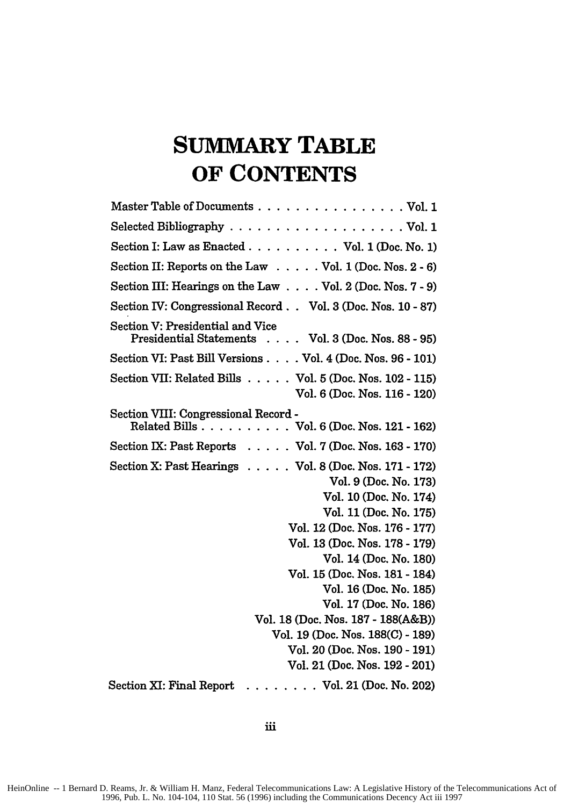## **SUMMARY TABLE OF CONTENTS**

| Master Table of Documents Vol. 1                                                                                                                                                                                                                                                                                                                                                                                                                                |
|-----------------------------------------------------------------------------------------------------------------------------------------------------------------------------------------------------------------------------------------------------------------------------------------------------------------------------------------------------------------------------------------------------------------------------------------------------------------|
|                                                                                                                                                                                                                                                                                                                                                                                                                                                                 |
| Section I: Law as Enacted Vol. 1 (Doc. No. 1)                                                                                                                                                                                                                                                                                                                                                                                                                   |
| Section II: Reports on the Law Vol. 1 (Doc. Nos. 2 - 6)                                                                                                                                                                                                                                                                                                                                                                                                         |
| Section III: Hearings on the Law Vol. 2 (Doc. Nos. 7 - 9)                                                                                                                                                                                                                                                                                                                                                                                                       |
| Section IV: Congressional Record. . Vol. 3 (Doc. Nos. 10 - 87)                                                                                                                                                                                                                                                                                                                                                                                                  |
| Section V: Presidential and Vice<br>Presidential Statements Vol. 3 (Doc. Nos. 88 - 95)                                                                                                                                                                                                                                                                                                                                                                          |
| Section VI: Past Bill Versions Vol. 4 (Doc. Nos. 96 - 101)                                                                                                                                                                                                                                                                                                                                                                                                      |
| Section VII: Related Bills Vol. 5 (Doc. Nos. 102 - 115)<br>Vol. 6 (Doc. Nos. 116 - 120)                                                                                                                                                                                                                                                                                                                                                                         |
| Section VIII: Congressional Record -<br>Related Bills Vol. 6 (Doc. Nos. 121 - 162)                                                                                                                                                                                                                                                                                                                                                                              |
| Section IX: Past Reports Vol. 7 (Doc. Nos. 163 - 170)                                                                                                                                                                                                                                                                                                                                                                                                           |
| Section X: Past Hearings Vol. 8 (Doc. Nos. 171 - 172)<br>Vol. 9 (Doc. No. 173)<br>Vol. 10 (Doc. No. 174)<br>Vol. 11 (Doc. No. 175)<br>Vol. 12 (Doc. Nos. 176 - 177)<br>Vol. 13 (Doc. Nos. 178 - 179)<br>Vol. 14 (Doc. No. 180)<br>Vol. 15 (Doc. Nos. 181 - 184)<br>Vol. 16 (Doc. No. 185)<br>Vol. 17 (Doc. No. 186)<br>Vol. 18 (Doc. Nos. 187 - 188(A&B))<br>Vol. 19 (Doc. Nos. 188(C) - 189)<br>Vol. 20 (Doc. Nos. 190 - 191)<br>Vol. 21 (Doc. Nos. 192 - 201) |
| Section XI: Final Report<br>. Vol. 21 (Doc. No. 202)                                                                                                                                                                                                                                                                                                                                                                                                            |